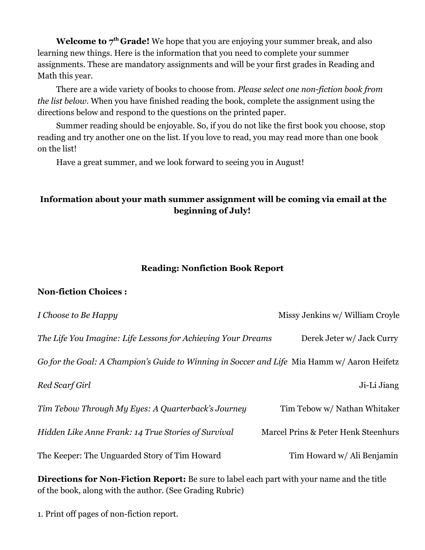**Welcome to 7th Grade!** We hope that you are enjoying your summer break, and also learning new things. Here is the information that you need to complete your summer assignments. These are mandatory assignments and will be your first grades in Reading and Math this year.

There are a wide variety of books to choose from. *Please select one non-fiction book from the list below*. When you have finished reading the book, complete the assignment using the directions below and respond to the questions on the printed paper.

Summer reading should be enjoyable. So, if you do not like the first book you choose, stop reading and try another one on the list. If you love to read, you may read more than one book on the list!

Have a great summer, and we look forward to seeing you in August!

## **Information about your math summer assignment will be coming via email at the beginning of July!**

#### **Reading: Nonfiction Book Report**

### **Non-fiction Choices :**

| I Choose to Be Happy                                                                        | Missy Jenkins w/ William Croyle     |
|---------------------------------------------------------------------------------------------|-------------------------------------|
| The Life You Imagine: Life Lessons for Achieving Your Dreams                                | Derek Jeter w/ Jack Curry           |
| Go for the Goal: A Champion's Guide to Winning in Soccer and Life Mia Hamm w/ Aaron Heifetz |                                     |
| Red Scarf Girl                                                                              | Ji-Li Jiang                         |
| Tim Tebow Through My Eyes: A Quarterback's Journey                                          | Tim Tebow w/ Nathan Whitaker        |
| Hidden Like Anne Frank: 14 True Stories of Survival                                         | Marcel Prins & Peter Henk Steenhurs |
| The Keeper: The Unguarded Story of Tim Howard                                               | Tim Howard w/ Ali Benjamin          |

**Directions for Non-Fiction Report:** Be sure to label each part with your name and the title of the book, along with the author. (See Grading Rubric)

1. Print off pages of non-fiction report.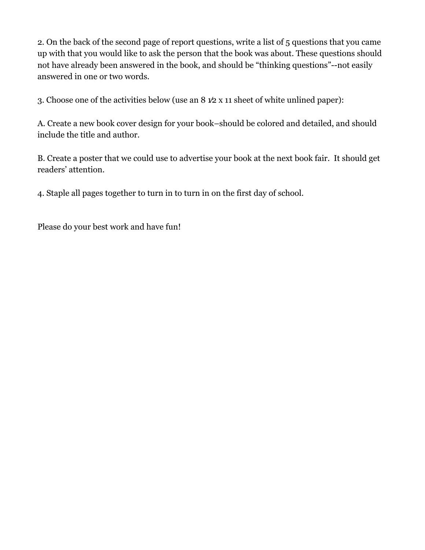2. On the back of the second page of report questions, write a list of 5 questions that you came up with that you would like to ask the person that the book was about. These questions should not have already been answered in the book, and should be "thinking questions"--not easily answered in one or two words.

3. Choose one of the activities below (use an 8 1⁄2 x 11 sheet of white unlined paper):

A. Create a new book cover design for your book–should be colored and detailed, and should include the title and author.

B. Create a poster that we could use to advertise your book at the next book fair. It should get readers' attention.

4. Staple all pages together to turn in to turn in on the first day of school.

Please do your best work and have fun!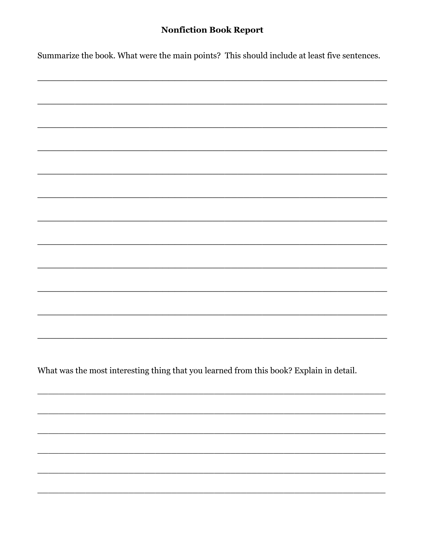## **Nonfiction Book Report**

Summarize the book. What were the main points? This should include at least five sentences.

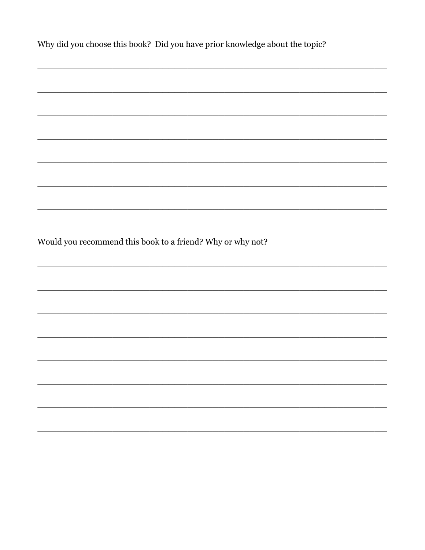| Why did you choose this book? Did you have prior knowledge about the topic? |  |  |
|-----------------------------------------------------------------------------|--|--|
|                                                                             |  |  |
|                                                                             |  |  |
|                                                                             |  |  |
|                                                                             |  |  |
|                                                                             |  |  |
| Would you recommend this book to a friend? Why or why not?                  |  |  |
|                                                                             |  |  |
|                                                                             |  |  |
|                                                                             |  |  |
|                                                                             |  |  |
|                                                                             |  |  |
|                                                                             |  |  |
|                                                                             |  |  |